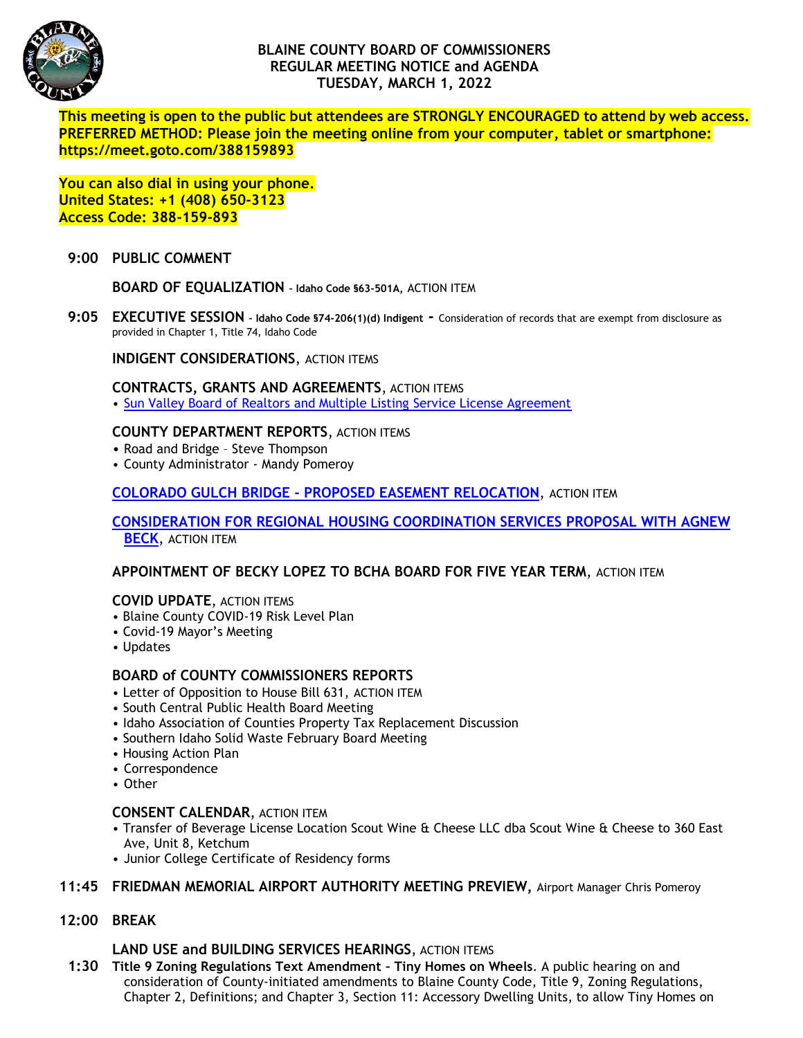

# **BLAINE COUNTY BOARD OF COMMISSIONERS REGULAR MEETING NOTICE and AGENDA TUESDAY, MARCH 1, 2022**

**This meeting is open to the public but attendees are STRONGLY ENCOURAGED to attend by web access. PREFERRED METHOD: Please join the meeting online from your computer, tablet or smartphone: https://meet.goto.com/388159893**

**You can also dial in using your phone. United States: +1 (408) 650-3123 Access Code: 388-159-893**

### **9:00 PUBLIC COMMENT**

**BOARD OF EQUALIZATION – Idaho Code §63-501A,** ACTION ITEM

**9:05 EXECUTIVE SESSION – Idaho Code §74-206(1)(d) Indigent -** Consideration of records that are exempt from disclosure as provided in Chapter 1, Title 74, Idaho Code

**INDIGENT CONSIDERATIONS**, ACTION ITEMS

#### **CONTRACTS, GRANTS AND AGREEMENTS**, ACTION ITEMS

• [Sun Valley Board of Realtors and Multiple Listing Service License Agreement](https://www.co.blaine.id.us/DocumentCenter/View/18034/SV-Board-of-Realtors--Multiple-Listing-Service-SMLS-License-Agreement)

### **COUNTY DEPARTMENT REPORTS**, ACTION ITEMS

- Road and Bridge Steve Thompson
- County Administrator Mandy Pomeroy

**COLORADO GULCH BRIDGE - [PROPOSED EASEMENT RELOCATION](https://www.co.blaine.id.us/DocumentCenter/View/18033/Colorado-Gulch-final)**, ACTION ITEM

**[CONSIDERATION FOR REGIONAL HOUSING COORDINATION SERVICES PROPOSAL WITH AGNEW](https://www.co.blaine.id.us/DocumentCenter/View/18032/AB-Proposal-Blaine-County_Regional-Housing-Coordination-Services)  [BECK](https://www.co.blaine.id.us/DocumentCenter/View/18032/AB-Proposal-Blaine-County_Regional-Housing-Coordination-Services)**, ACTION ITEM

**APPOINTMENT OF BECKY LOPEZ TO BCHA BOARD FOR FIVE YEAR TERM**, ACTION ITEM

# **COVID UPDATE**, ACTION ITEMS

- Blaine County COVID-19 Risk Level Plan
- Covid-19 Mayor's Meeting
- Updates

### **BOARD of COUNTY COMMISSIONERS REPORTS**

- Letter of Opposition to House Bill 631, ACTION ITEM
- South Central Public Health Board Meeting
- Idaho Association of Counties Property Tax Replacement Discussion
- Southern Idaho Solid Waste February Board Meeting
- Housing Action Plan
- Correspondence
- Other

### **CONSENT CALENDAR**, ACTION ITEM

- Transfer of Beverage License Location Scout Wine & Cheese LLC dba Scout Wine & Cheese to 360 East Ave, Unit 8, Ketchum
- Junior College Certificate of Residency forms

### **11:45 FRIEDMAN MEMORIAL AIRPORT AUTHORITY MEETING PREVIEW,** Airport Manager Chris Pomeroy

**12:00 BREAK**

### **LAND USE and BUILDING SERVICES HEARINGS**, ACTION ITEMS

 **1:30 Title 9 Zoning Regulations Text Amendment – Tiny Homes on Wheels**. A public hearing on and consideration of County-initiated amendments to Blaine County Code, Title 9, Zoning Regulations, Chapter 2, Definitions; and Chapter 3, Section 11: Accessory Dwelling Units, to allow Tiny Homes on